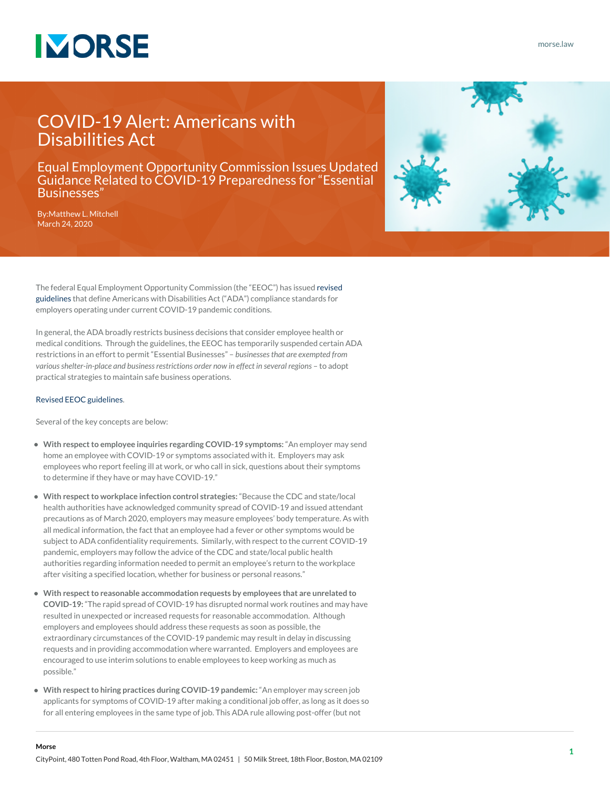

[morse.law](https://www.morse.law/)

## COVID-19 Alert: Americans with Disabilities Act

Equal Employment Opportunity Commission Issues Updated Guidance Related to COVID-19 Preparedness for "Essential Businesses"

By:[Matthew L. Mitchell](https://www.morse.law/attorney/matthew-mitchell/) March 24, 2020



The federal Equal Employment Opportunity Commission (the "EEOC") has issued [revised](https://www.eeoc.gov/facts/pandemic_flu.html) [guidelines](https://www.eeoc.gov/facts/pandemic_flu.html) that define Americans with Disabilities Act ("ADA") compliance standards for employers operating under current COVID-19 pandemic conditions.

In general, the ADA broadly restricts business decisions that consider employee health or medical conditions. Through the guidelines, the EEOC has temporarily suspended certain ADA restrictions in an effort to permit "Essential Businesses" – *businesses that are exempted from various shelter-in-place and business restrictions order now in effect in several regions* – to adopt practical strategies to maintain safe business operations.

## [Revised EEOC guidelines](https://www.eeoc.gov/facts/pandemic_flu.html).

Several of the key concepts are below:

- **With respect to employee inquiries regarding COVID-19 symptoms:** "An employer may send home an employee with COVID-19 or symptoms associated with it. Employers may ask employees who report feeling ill at work, or who call in sick, questions about their symptoms to determine if they have or may have COVID-19."
- **With respect to workplace infection control strategies:** "Because the CDC and state/local health authorities have acknowledged community spread of COVID-19 and issued attendant precautions as of March 2020, employers may measure employees' body temperature. As with all medical information, the fact that an employee had a fever or other symptoms would be subject to ADA confidentiality requirements. Similarly, with respect to the current COVID-19 pandemic, employers may follow the advice of the CDC and state/local public health authorities regarding information needed to permit an employee's return to the workplace after visiting a specified location, whether for business or personal reasons."
- **With respect to reasonable accommodation requests by employees that are unrelated to COVID-19:** "The rapid spread of COVID-19 has disrupted normal work routines and may have resulted in unexpected or increased requests for reasonable accommodation. Although employers and employees should address these requests as soon as possible, the extraordinary circumstances of the COVID-19 pandemic may result in delay in discussing requests and in providing accommodation where warranted. Employers and employees are encouraged to use interim solutions to enable employees to keep working as much as possible."
- **With respect to hiring practices during COVID-19 pandemic:** "An employer may screen job applicants for symptoms of COVID-19 after making a conditional job offer, as long as it does so for all entering employees in the same type of job. This ADA rule allowing post-offer (but not